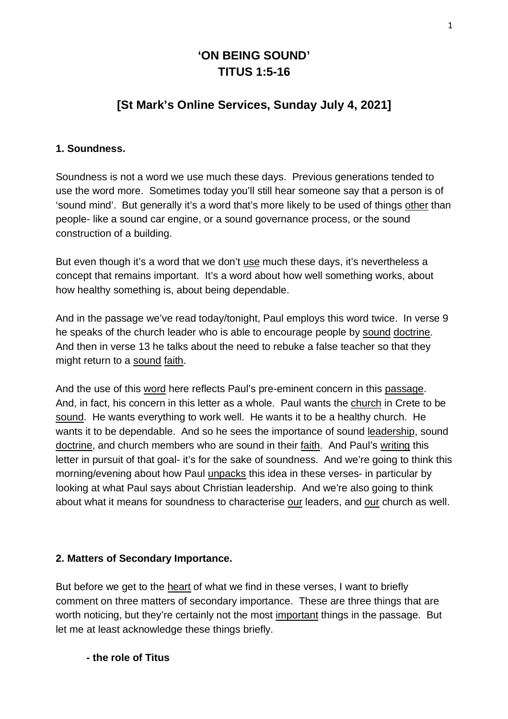# **'ON BEING SOUND' TITUS 1:5-16**

# **[St Mark's Online Services, Sunday July 4, 2021]**

### **1. Soundness.**

Soundness is not a word we use much these days. Previous generations tended to use the word more. Sometimes today you'll still hear someone say that a person is of 'sound mind'. But generally it's a word that's more likely to be used of things other than people- like a sound car engine, or a sound governance process, or the sound construction of a building.

But even though it's a word that we don't use much these days, it's nevertheless a concept that remains important. It's a word about how well something works, about how healthy something is, about being dependable.

And in the passage we've read today/tonight, Paul employs this word twice. In verse 9 he speaks of the church leader who is able to encourage people by sound doctrine. And then in verse 13 he talks about the need to rebuke a false teacher so that they might return to a sound faith.

And the use of this word here reflects Paul's pre-eminent concern in this passage. And, in fact, his concern in this letter as a whole. Paul wants the church in Crete to be sound. He wants everything to work well. He wants it to be a healthy church. He wants it to be dependable. And so he sees the importance of sound leadership, sound doctrine, and church members who are sound in their faith. And Paul's writing this letter in pursuit of that goal- it's for the sake of soundness. And we're going to think this morning/evening about how Paul unpacks this idea in these verses- in particular by looking at what Paul says about Christian leadership. And we're also going to think about what it means for soundness to characterise our leaders, and our church as well.

#### **2. Matters of Secondary Importance.**

But before we get to the heart of what we find in these verses, I want to briefly comment on three matters of secondary importance. These are three things that are worth noticing, but they're certainly not the most important things in the passage. But let me at least acknowledge these things briefly.

 **- the role of Titus**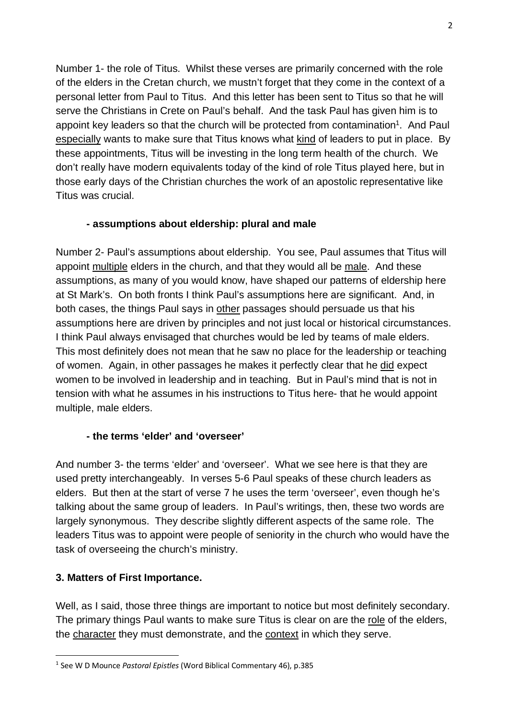Number 1- the role of Titus. Whilst these verses are primarily concerned with the role of the elders in the Cretan church, we mustn't forget that they come in the context of a personal letter from Paul to Titus. And this letter has been sent to Titus so that he will serve the Christians in Crete on Paul's behalf. And the task Paul has given him is to appoint key leaders so that the church will be protected from contamination<sup>1</sup>. And Paul especially wants to make sure that Titus knows what kind of leaders to put in place. By these appointments, Titus will be investing in the long term health of the church. We don't really have modern equivalents today of the kind of role Titus played here, but in those early days of the Christian churches the work of an apostolic representative like Titus was crucial.

### **- assumptions about eldership: plural and male**

Number 2- Paul's assumptions about eldership. You see, Paul assumes that Titus will appoint multiple elders in the church, and that they would all be male. And these assumptions, as many of you would know, have shaped our patterns of eldership here at St Mark's. On both fronts I think Paul's assumptions here are significant. And, in both cases, the things Paul says in other passages should persuade us that his assumptions here are driven by principles and not just local or historical circumstances. I think Paul always envisaged that churches would be led by teams of male elders. This most definitely does not mean that he saw no place for the leadership or teaching of women. Again, in other passages he makes it perfectly clear that he did expect women to be involved in leadership and in teaching. But in Paul's mind that is not in tension with what he assumes in his instructions to Titus here- that he would appoint multiple, male elders.

### **- the terms 'elder' and 'overseer'**

And number 3- the terms 'elder' and 'overseer'. What we see here is that they are used pretty interchangeably. In verses 5-6 Paul speaks of these church leaders as elders. But then at the start of verse 7 he uses the term 'overseer', even though he's talking about the same group of leaders. In Paul's writings, then, these two words are largely synonymous. They describe slightly different aspects of the same role. The leaders Titus was to appoint were people of seniority in the church who would have the task of overseeing the church's ministry.

### **3. Matters of First Importance.**

Well, as I said, those three things are important to notice but most definitely secondary. The primary things Paul wants to make sure Titus is clear on are the role of the elders, the character they must demonstrate, and the context in which they serve.

<sup>1</sup> See W D Mounce *Pastoral Epistles* (Word Biblical Commentary 46), p.385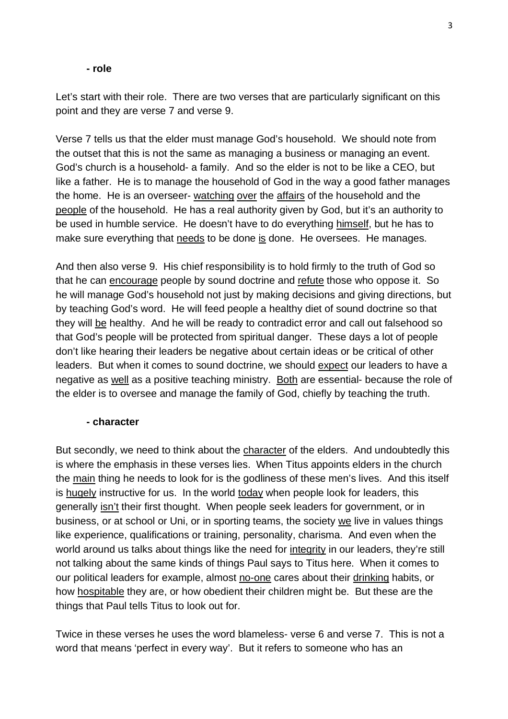#### **- role**

Let's start with their role. There are two verses that are particularly significant on this point and they are verse 7 and verse 9.

Verse 7 tells us that the elder must manage God's household. We should note from the outset that this is not the same as managing a business or managing an event. God's church is a household- a family. And so the elder is not to be like a CEO, but like a father. He is to manage the household of God in the way a good father manages the home. He is an overseer- watching over the affairs of the household and the people of the household. He has a real authority given by God, but it's an authority to be used in humble service. He doesn't have to do everything himself, but he has to make sure everything that needs to be done is done. He oversees. He manages.

And then also verse 9. His chief responsibility is to hold firmly to the truth of God so that he can encourage people by sound doctrine and refute those who oppose it. So he will manage God's household not just by making decisions and giving directions, but by teaching God's word. He will feed people a healthy diet of sound doctrine so that they will be healthy. And he will be ready to contradict error and call out falsehood so that God's people will be protected from spiritual danger. These days a lot of people don't like hearing their leaders be negative about certain ideas or be critical of other leaders. But when it comes to sound doctrine, we should expect our leaders to have a negative as well as a positive teaching ministry. Both are essential- because the role of the elder is to oversee and manage the family of God, chiefly by teaching the truth.

### **- character**

But secondly, we need to think about the character of the elders. And undoubtedly this is where the emphasis in these verses lies. When Titus appoints elders in the church the main thing he needs to look for is the godliness of these men's lives. And this itself is hugely instructive for us. In the world today when people look for leaders, this generally isn't their first thought. When people seek leaders for government, or in business, or at school or Uni, or in sporting teams, the society we live in values things like experience, qualifications or training, personality, charisma. And even when the world around us talks about things like the need for integrity in our leaders, they're still not talking about the same kinds of things Paul says to Titus here. When it comes to our political leaders for example, almost no-one cares about their drinking habits, or how hospitable they are, or how obedient their children might be. But these are the things that Paul tells Titus to look out for.

Twice in these verses he uses the word blameless- verse 6 and verse 7. This is not a word that means 'perfect in every way'. But it refers to someone who has an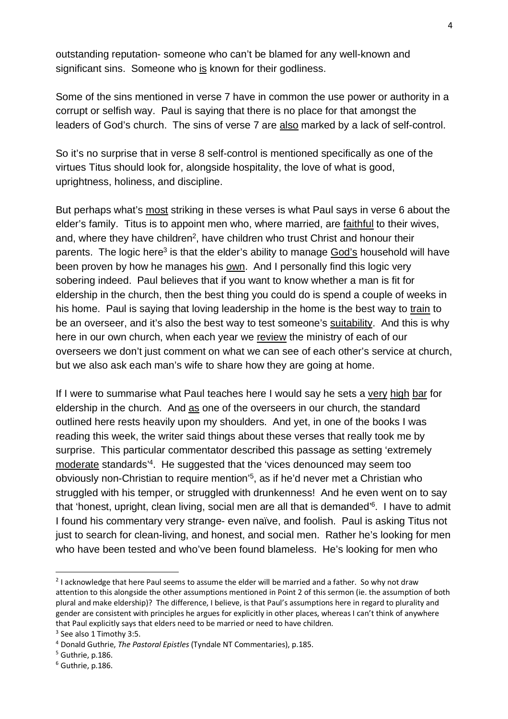outstanding reputation- someone who can't be blamed for any well-known and significant sins. Someone who is known for their godliness.

Some of the sins mentioned in verse 7 have in common the use power or authority in a corrupt or selfish way. Paul is saying that there is no place for that amongst the leaders of God's church. The sins of verse 7 are also marked by a lack of self-control.

So it's no surprise that in verse 8 self-control is mentioned specifically as one of the virtues Titus should look for, alongside hospitality, the love of what is good, uprightness, holiness, and discipline.

But perhaps what's most striking in these verses is what Paul says in verse 6 about the elder's family. Titus is to appoint men who, where married, are faithful to their wives, and, where they have children<sup>2</sup>, have children who trust Christ and honour their parents. The logic here<sup>3</sup> is that the elder's ability to manage God's household will have been proven by how he manages his own. And I personally find this logic very sobering indeed. Paul believes that if you want to know whether a man is fit for eldership in the church, then the best thing you could do is spend a couple of weeks in his home. Paul is saying that loving leadership in the home is the best way to train to be an overseer, and it's also the best way to test someone's suitability. And this is why here in our own church, when each year we review the ministry of each of our overseers we don't just comment on what we can see of each other's service at church, but we also ask each man's wife to share how they are going at home.

If I were to summarise what Paul teaches here I would say he sets a very high bar for eldership in the church. And as one of the overseers in our church, the standard outlined here rests heavily upon my shoulders. And yet, in one of the books I was reading this week, the writer said things about these verses that really took me by surprise. This particular commentator described this passage as setting 'extremely moderate standards'4. He suggested that the 'vices denounced may seem too obviously non-Christian to require mention'5, as if he'd never met a Christian who struggled with his temper, or struggled with drunkenness! And he even went on to say that 'honest, upright, clean living, social men are all that is demanded'6. I have to admit I found his commentary very strange- even naïve, and foolish. Paul is asking Titus not just to search for clean-living, and honest, and social men. Rather he's looking for men who have been tested and who've been found blameless. He's looking for men who

 $2$  I acknowledge that here Paul seems to assume the elder will be married and a father. So why not draw attention to this alongside the other assumptions mentioned in Point 2 of this sermon (ie. the assumption of both plural and make eldership)? The difference, I believe, is that Paul's assumptions here in regard to plurality and gender are consistent with principles he argues for explicitly in other places, whereas I can't think of anywhere that Paul explicitly says that elders need to be married or need to have children.

<sup>&</sup>lt;sup>3</sup> See also 1 Timothy 3:5.

<sup>&</sup>lt;sup>4</sup> Donald Guthrie, *The Pastoral Epistles* (Tyndale NT Commentaries), p.185.<br><sup>5</sup> Guthrie .p. 186

 $5$  Guthrie, p.186.

<sup>6</sup> Guthrie, p.186.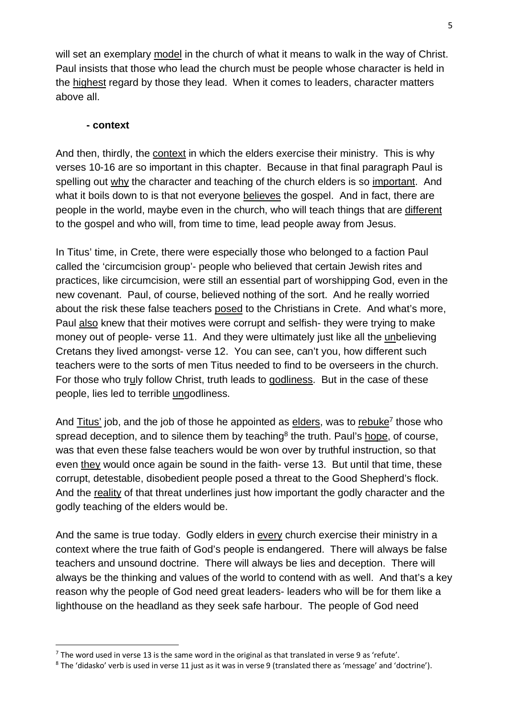will set an exemplary model in the church of what it means to walk in the way of Christ. Paul insists that those who lead the church must be people whose character is held in the highest regard by those they lead. When it comes to leaders, character matters above all.

#### **- context**

And then, thirdly, the context in which the elders exercise their ministry. This is why verses 10-16 are so important in this chapter. Because in that final paragraph Paul is spelling out why the character and teaching of the church elders is so important. And what it boils down to is that not everyone believes the gospel. And in fact, there are people in the world, maybe even in the church, who will teach things that are different to the gospel and who will, from time to time, lead people away from Jesus.

In Titus' time, in Crete, there were especially those who belonged to a faction Paul called the 'circumcision group'- people who believed that certain Jewish rites and practices, like circumcision, were still an essential part of worshipping God, even in the new covenant. Paul, of course, believed nothing of the sort. And he really worried about the risk these false teachers posed to the Christians in Crete. And what's more, Paul also knew that their motives were corrupt and selfish- they were trying to make money out of people- verse 11. And they were ultimately just like all the unbelieving Cretans they lived amongst- verse 12. You can see, can't you, how different such teachers were to the sorts of men Titus needed to find to be overseers in the church. For those who truly follow Christ, truth leads to godliness. But in the case of these people, lies led to terrible ungodliness.

And Titus' job, and the job of those he appointed as elders, was to rebuke<sup>7</sup> those who spread deception, and to silence them by teaching<sup>8</sup> the truth. Paul's hope, of course, was that even these false teachers would be won over by truthful instruction, so that even they would once again be sound in the faith- verse 13. But until that time, these corrupt, detestable, disobedient people posed a threat to the Good Shepherd's flock. And the reality of that threat underlines just how important the godly character and the godly teaching of the elders would be.

And the same is true today. Godly elders in every church exercise their ministry in a context where the true faith of God's people is endangered. There will always be false teachers and unsound doctrine. There will always be lies and deception. There will always be the thinking and values of the world to contend with as well. And that's a key reason why the people of God need great leaders- leaders who will be for them like a lighthouse on the headland as they seek safe harbour. The people of God need

 $^7$  The word used in verse 13 is the same word in the original as that translated in verse 9 as 'refute'.

<sup>8</sup> The 'didasko' verb is used in verse 11 just as it was in verse 9 (translated there as 'message' and 'doctrine').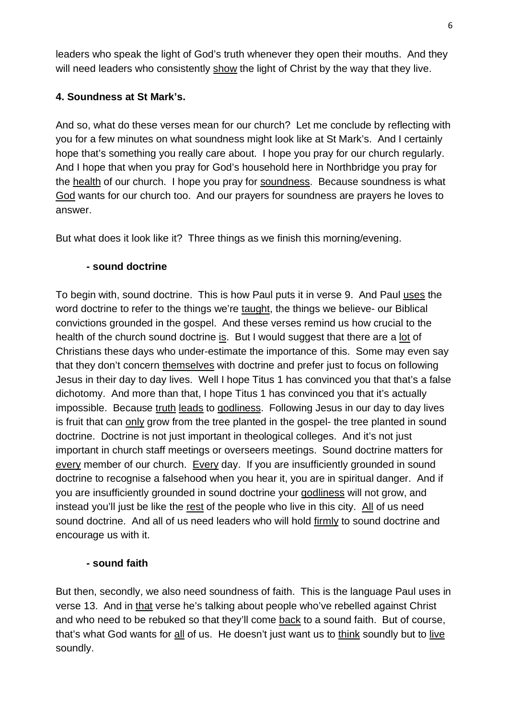leaders who speak the light of God's truth whenever they open their mouths. And they will need leaders who consistently show the light of Christ by the way that they live.

# **4. Soundness at St Mark's.**

And so, what do these verses mean for our church? Let me conclude by reflecting with you for a few minutes on what soundness might look like at St Mark's. And I certainly hope that's something you really care about. I hope you pray for our church regularly. And I hope that when you pray for God's household here in Northbridge you pray for the health of our church. I hope you pray for soundness. Because soundness is what God wants for our church too. And our prayers for soundness are prayers he loves to answer.

But what does it look like it? Three things as we finish this morning/evening.

### **- sound doctrine**

To begin with, sound doctrine. This is how Paul puts it in verse 9. And Paul uses the word doctrine to refer to the things we're taught, the things we believe- our Biblical convictions grounded in the gospel. And these verses remind us how crucial to the health of the church sound doctrine is. But I would suggest that there are a lot of Christians these days who under-estimate the importance of this. Some may even say that they don't concern themselves with doctrine and prefer just to focus on following Jesus in their day to day lives. Well I hope Titus 1 has convinced you that that's a false dichotomy. And more than that, I hope Titus 1 has convinced you that it's actually impossible. Because truth leads to godliness. Following Jesus in our day to day lives is fruit that can only grow from the tree planted in the gospel- the tree planted in sound doctrine. Doctrine is not just important in theological colleges. And it's not just important in church staff meetings or overseers meetings. Sound doctrine matters for every member of our church. Every day. If you are insufficiently grounded in sound doctrine to recognise a falsehood when you hear it, you are in spiritual danger. And if you are insufficiently grounded in sound doctrine your godliness will not grow, and instead you'll just be like the rest of the people who live in this city. All of us need sound doctrine. And all of us need leaders who will hold firmly to sound doctrine and encourage us with it.

# **- sound faith**

But then, secondly, we also need soundness of faith. This is the language Paul uses in verse 13. And in that verse he's talking about people who've rebelled against Christ and who need to be rebuked so that they'll come back to a sound faith. But of course, that's what God wants for all of us. He doesn't just want us to think soundly but to live soundly.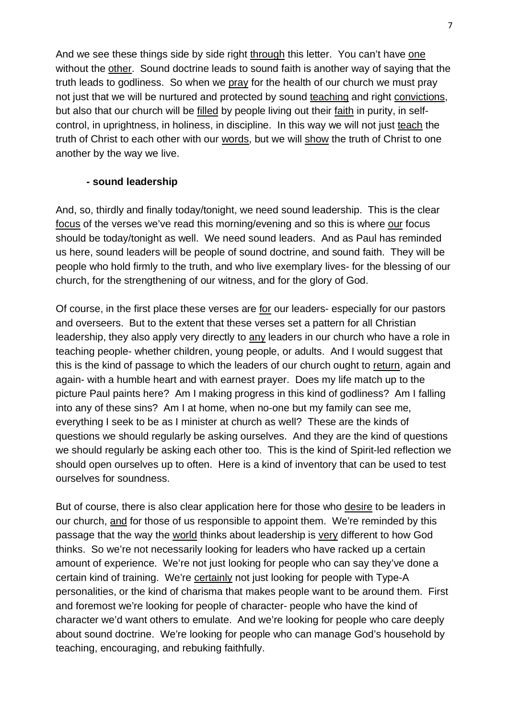And we see these things side by side right through this letter. You can't have one without the other. Sound doctrine leads to sound faith is another way of saying that the truth leads to godliness. So when we pray for the health of our church we must pray not just that we will be nurtured and protected by sound teaching and right convictions, but also that our church will be filled by people living out their faith in purity, in selfcontrol, in uprightness, in holiness, in discipline. In this way we will not just teach the truth of Christ to each other with our words, but we will show the truth of Christ to one another by the way we live.

### **- sound leadership**

And, so, thirdly and finally today/tonight, we need sound leadership. This is the clear focus of the verses we've read this morning/evening and so this is where our focus should be today/tonight as well. We need sound leaders. And as Paul has reminded us here, sound leaders will be people of sound doctrine, and sound faith. They will be people who hold firmly to the truth, and who live exemplary lives- for the blessing of our church, for the strengthening of our witness, and for the glory of God.

Of course, in the first place these verses are for our leaders- especially for our pastors and overseers. But to the extent that these verses set a pattern for all Christian leadership, they also apply very directly to any leaders in our church who have a role in teaching people- whether children, young people, or adults. And I would suggest that this is the kind of passage to which the leaders of our church ought to return, again and again- with a humble heart and with earnest prayer. Does my life match up to the picture Paul paints here? Am I making progress in this kind of godliness? Am I falling into any of these sins? Am I at home, when no-one but my family can see me, everything I seek to be as I minister at church as well? These are the kinds of questions we should regularly be asking ourselves. And they are the kind of questions we should regularly be asking each other too. This is the kind of Spirit-led reflection we should open ourselves up to often. Here is a kind of inventory that can be used to test ourselves for soundness.

But of course, there is also clear application here for those who desire to be leaders in our church, and for those of us responsible to appoint them. We're reminded by this passage that the way the world thinks about leadership is very different to how God thinks. So we're not necessarily looking for leaders who have racked up a certain amount of experience. We're not just looking for people who can say they've done a certain kind of training. We're certainly not just looking for people with Type-A personalities, or the kind of charisma that makes people want to be around them. First and foremost we're looking for people of character- people who have the kind of character we'd want others to emulate. And we're looking for people who care deeply about sound doctrine. We're looking for people who can manage God's household by teaching, encouraging, and rebuking faithfully.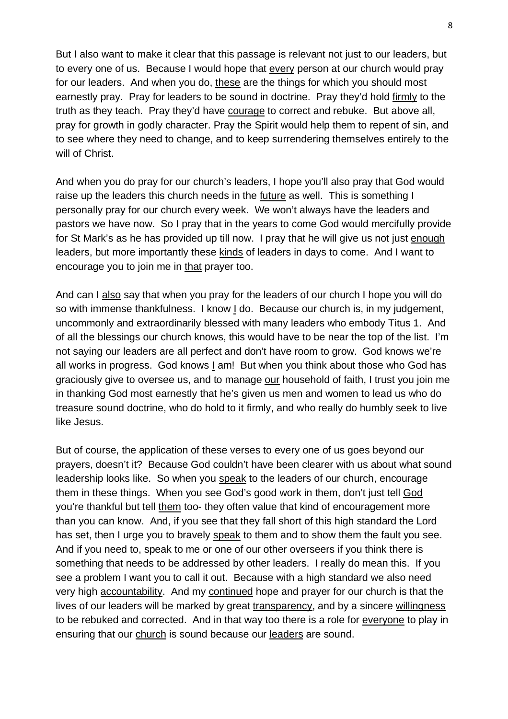But I also want to make it clear that this passage is relevant not just to our leaders, but to every one of us. Because I would hope that every person at our church would pray for our leaders. And when you do, these are the things for which you should most earnestly pray. Pray for leaders to be sound in doctrine. Pray they'd hold firmly to the truth as they teach. Pray they'd have courage to correct and rebuke. But above all, pray for growth in godly character. Pray the Spirit would help them to repent of sin, and to see where they need to change, and to keep surrendering themselves entirely to the will of Christ.

And when you do pray for our church's leaders, I hope you'll also pray that God would raise up the leaders this church needs in the future as well. This is something I personally pray for our church every week. We won't always have the leaders and pastors we have now. So I pray that in the years to come God would mercifully provide for St Mark's as he has provided up till now. I pray that he will give us not just enough leaders, but more importantly these kinds of leaders in days to come. And I want to encourage you to join me in that prayer too.

And can I also say that when you pray for the leaders of our church I hope you will do so with immense thankfulness. I know I do. Because our church is, in my judgement, uncommonly and extraordinarily blessed with many leaders who embody Titus 1. And of all the blessings our church knows, this would have to be near the top of the list. I'm not saying our leaders are all perfect and don't have room to grow. God knows we're all works in progress. God knows I am! But when you think about those who God has graciously give to oversee us, and to manage our household of faith, I trust you join me in thanking God most earnestly that he's given us men and women to lead us who do treasure sound doctrine, who do hold to it firmly, and who really do humbly seek to live like Jesus.

But of course, the application of these verses to every one of us goes beyond our prayers, doesn't it? Because God couldn't have been clearer with us about what sound leadership looks like. So when you speak to the leaders of our church, encourage them in these things. When you see God's good work in them, don't just tell God you're thankful but tell them too- they often value that kind of encouragement more than you can know. And, if you see that they fall short of this high standard the Lord has set, then I urge you to bravely speak to them and to show them the fault you see. And if you need to, speak to me or one of our other overseers if you think there is something that needs to be addressed by other leaders. I really do mean this. If you see a problem I want you to call it out. Because with a high standard we also need very high accountability. And my continued hope and prayer for our church is that the lives of our leaders will be marked by great transparency, and by a sincere willingness to be rebuked and corrected. And in that way too there is a role for everyone to play in ensuring that our church is sound because our leaders are sound.